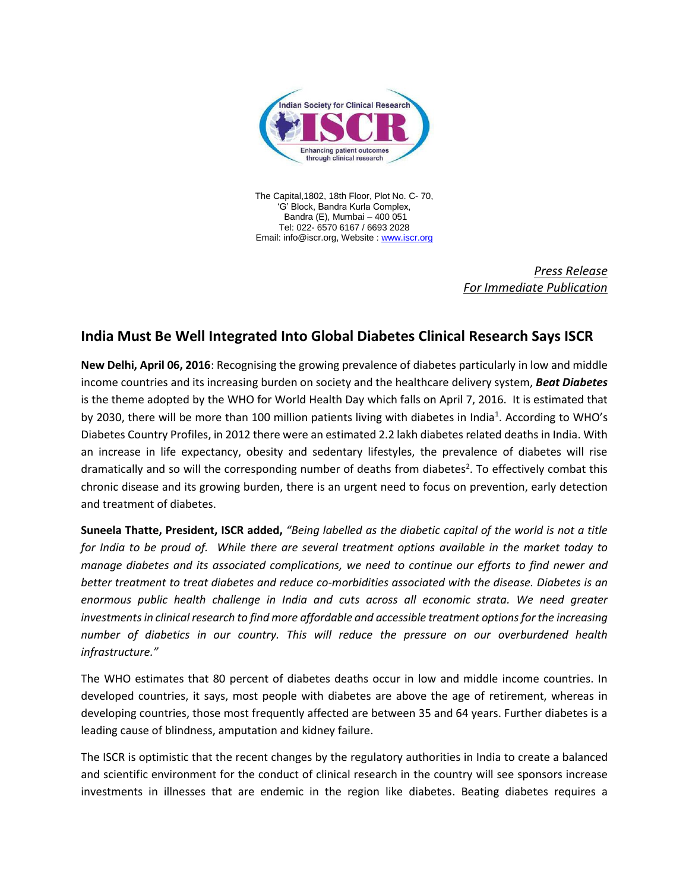

The Capital,1802, 18th Floor, Plot No. C- 70, 'G' Block, Bandra Kurla Complex, Bandra (E), Mumbai – 400 051 Tel: 022- 6570 6167 / 6693 2028 Email: info@iscr.org, Website : [www.iscr.org](http://www.iscr.org/)

> *Press Release For Immediate Publication*

## **India Must Be Well Integrated Into Global Diabetes Clinical Research Says ISCR**

**New Delhi, April 06, 2016**: Recognising the growing prevalence of diabetes particularly in low and middle income countries and its increasing burden on society and the healthcare delivery system, *Beat Diabetes* is the theme adopted by the WHO for World Health Day which falls on April 7, 2016. It is estimated that by 2030, there will be more than 100 million patients living with diabetes in India<sup>1</sup>. According to WHO's Diabetes Country Profiles, in 2012 there were an estimated 2.2 lakh diabetes related deaths in India. With an increase in life expectancy, obesity and sedentary lifestyles, the prevalence of diabetes will rise dramatically and so will the corresponding number of deaths from diabetes<sup>2</sup>. To effectively combat this chronic disease and its growing burden, there is an urgent need to focus on prevention, early detection and treatment of diabetes.

**Suneela Thatte, President, ISCR added,** *"Being labelled as the diabetic capital of the world is not a title for India to be proud of. While there are several treatment options available in the market today to manage diabetes and its associated complications, we need to continue our efforts to find newer and better treatment to treat diabetes and reduce co-morbidities associated with the disease. Diabetes is an enormous public health challenge in India and cuts across all economic strata. We need greater investments in clinical research to find more affordable and accessible treatment optionsfor the increasing number of diabetics in our country. This will reduce the pressure on our overburdened health infrastructure."*

The WHO estimates that 80 percent of diabetes deaths occur in low and middle income countries. In developed countries, it says, most people with diabetes are above the age of retirement, whereas in developing countries, those most frequently affected are between 35 and 64 years. Further diabetes is a leading cause of blindness, amputation and kidney failure.

The ISCR is optimistic that the recent changes by the regulatory authorities in India to create a balanced and scientific environment for the conduct of clinical research in the country will see sponsors increase investments in illnesses that are endemic in the region like diabetes. Beating diabetes requires a